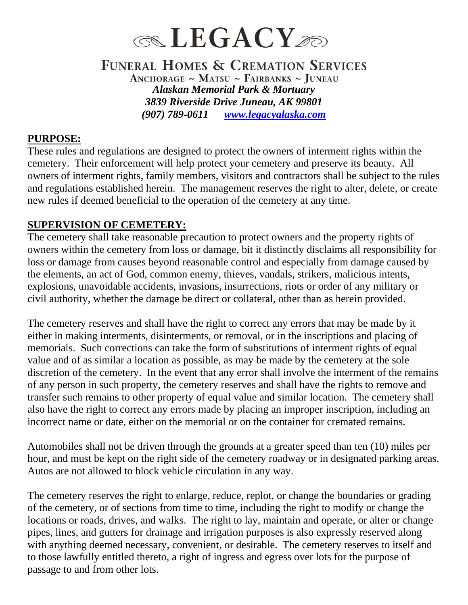

### FUNERAL HOMES & CREMATION SERVICES ANCHORAGE ~ MATSU ~ FAIRBANKS ~ JUNEAU *Alaskan Memorial Park & Mortuary 3839 Riverside Drive Juneau, AK 99801 (907) 789-0611 [www.legacyalaska.com](http://www.legacyalaska.com/)*

#### **PURPOSE:**

These rules and regulations are designed to protect the owners of interment rights within the cemetery. Their enforcement will help protect your cemetery and preserve its beauty. All owners of interment rights, family members, visitors and contractors shall be subject to the rules and regulations established herein. The management reserves the right to alter, delete, or create new rules if deemed beneficial to the operation of the cemetery at any time.

#### **SUPERVISION OF CEMETERY:**

The cemetery shall take reasonable precaution to protect owners and the property rights of owners within the cemetery from loss or damage, bit it distinctly disclaims all responsibility for loss or damage from causes beyond reasonable control and especially from damage caused by the elements, an act of God, common enemy, thieves, vandals, strikers, malicious intents, explosions, unavoidable accidents, invasions, insurrections, riots or order of any military or civil authority, whether the damage be direct or collateral, other than as herein provided.

The cemetery reserves and shall have the right to correct any errors that may be made by it either in making interments, disinterments, or removal, or in the inscriptions and placing of memorials. Such corrections can take the form of substitutions of interment rights of equal value and of as similar a location as possible, as may be made by the cemetery at the sole discretion of the cemetery. In the event that any error shall involve the interment of the remains of any person in such property, the cemetery reserves and shall have the rights to remove and transfer such remains to other property of equal value and similar location. The cemetery shall also have the right to correct any errors made by placing an improper inscription, including an incorrect name or date, either on the memorial or on the container for cremated remains.

Automobiles shall not be driven through the grounds at a greater speed than ten (10) miles per hour, and must be kept on the right side of the cemetery roadway or in designated parking areas. Autos are not allowed to block vehicle circulation in any way.

The cemetery reserves the right to enlarge, reduce, replot, or change the boundaries or grading of the cemetery, or of sections from time to time, including the right to modify or change the locations or roads, drives, and walks. The right to lay, maintain and operate, or alter or change pipes, lines, and gutters for drainage and irrigation purposes is also expressly reserved along with anything deemed necessary, convenient, or desirable. The cemetery reserves to itself and to those lawfully entitled thereto, a right of ingress and egress over lots for the purpose of passage to and from other lots.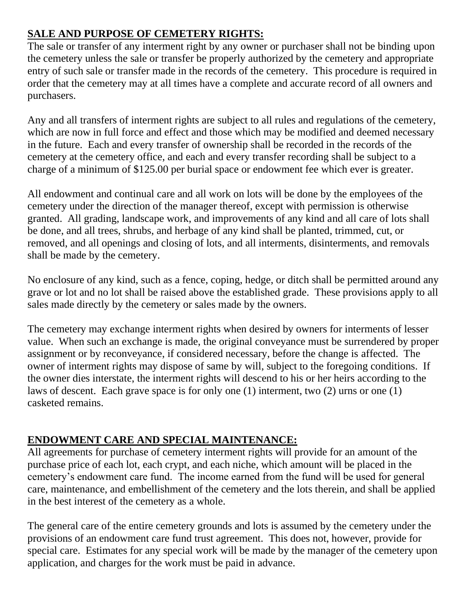# **SALE AND PURPOSE OF CEMETERY RIGHTS:**

The sale or transfer of any interment right by any owner or purchaser shall not be binding upon the cemetery unless the sale or transfer be properly authorized by the cemetery and appropriate entry of such sale or transfer made in the records of the cemetery. This procedure is required in order that the cemetery may at all times have a complete and accurate record of all owners and purchasers.

Any and all transfers of interment rights are subject to all rules and regulations of the cemetery, which are now in full force and effect and those which may be modified and deemed necessary in the future. Each and every transfer of ownership shall be recorded in the records of the cemetery at the cemetery office, and each and every transfer recording shall be subject to a charge of a minimum of \$125.00 per burial space or endowment fee which ever is greater.

All endowment and continual care and all work on lots will be done by the employees of the cemetery under the direction of the manager thereof, except with permission is otherwise granted. All grading, landscape work, and improvements of any kind and all care of lots shall be done, and all trees, shrubs, and herbage of any kind shall be planted, trimmed, cut, or removed, and all openings and closing of lots, and all interments, disinterments, and removals shall be made by the cemetery.

No enclosure of any kind, such as a fence, coping, hedge, or ditch shall be permitted around any grave or lot and no lot shall be raised above the established grade. These provisions apply to all sales made directly by the cemetery or sales made by the owners.

The cemetery may exchange interment rights when desired by owners for interments of lesser value. When such an exchange is made, the original conveyance must be surrendered by proper assignment or by reconveyance, if considered necessary, before the change is affected. The owner of interment rights may dispose of same by will, subject to the foregoing conditions. If the owner dies interstate, the interment rights will descend to his or her heirs according to the laws of descent. Each grave space is for only one (1) interment, two (2) urns or one (1) casketed remains.

# **ENDOWMENT CARE AND SPECIAL MAINTENANCE:**

All agreements for purchase of cemetery interment rights will provide for an amount of the purchase price of each lot, each crypt, and each niche, which amount will be placed in the cemetery's endowment care fund. The income earned from the fund will be used for general care, maintenance, and embellishment of the cemetery and the lots therein, and shall be applied in the best interest of the cemetery as a whole.

The general care of the entire cemetery grounds and lots is assumed by the cemetery under the provisions of an endowment care fund trust agreement. This does not, however, provide for special care. Estimates for any special work will be made by the manager of the cemetery upon application, and charges for the work must be paid in advance.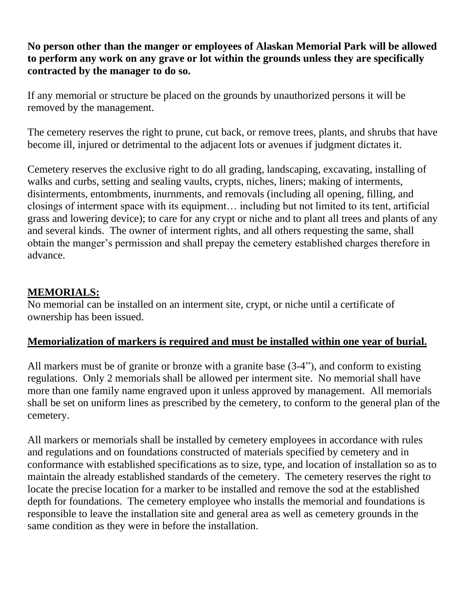**No person other than the manger or employees of Alaskan Memorial Park will be allowed to perform any work on any grave or lot within the grounds unless they are specifically contracted by the manager to do so.**

If any memorial or structure be placed on the grounds by unauthorized persons it will be removed by the management.

The cemetery reserves the right to prune, cut back, or remove trees, plants, and shrubs that have become ill, injured or detrimental to the adjacent lots or avenues if judgment dictates it.

Cemetery reserves the exclusive right to do all grading, landscaping, excavating, installing of walks and curbs, setting and sealing vaults, crypts, niches, liners; making of interments, disinterments, entombments, inurnments, and removals (including all opening, filling, and closings of interment space with its equipment… including but not limited to its tent, artificial grass and lowering device); to care for any crypt or niche and to plant all trees and plants of any and several kinds. The owner of interment rights, and all others requesting the same, shall obtain the manger's permission and shall prepay the cemetery established charges therefore in advance.

# **MEMORIALS:**

No memorial can be installed on an interment site, crypt, or niche until a certificate of ownership has been issued.

### **Memorialization of markers is required and must be installed within one year of burial.**

All markers must be of granite or bronze with a granite base (3-4"), and conform to existing regulations. Only 2 memorials shall be allowed per interment site. No memorial shall have more than one family name engraved upon it unless approved by management. All memorials shall be set on uniform lines as prescribed by the cemetery, to conform to the general plan of the cemetery.

All markers or memorials shall be installed by cemetery employees in accordance with rules and regulations and on foundations constructed of materials specified by cemetery and in conformance with established specifications as to size, type, and location of installation so as to maintain the already established standards of the cemetery. The cemetery reserves the right to locate the precise location for a marker to be installed and remove the sod at the established depth for foundations. The cemetery employee who installs the memorial and foundations is responsible to leave the installation site and general area as well as cemetery grounds in the same condition as they were in before the installation.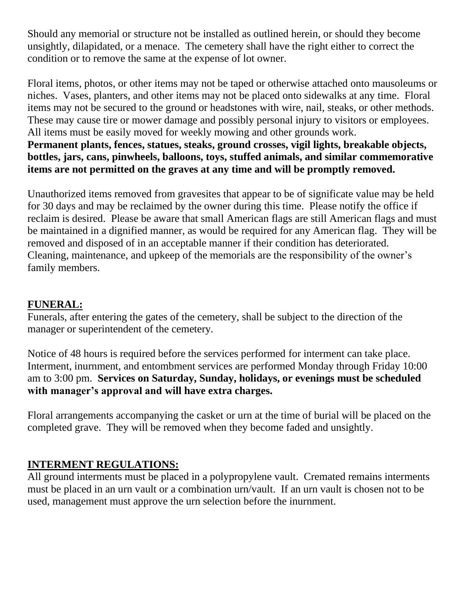Should any memorial or structure not be installed as outlined herein, or should they become unsightly, dilapidated, or a menace. The cemetery shall have the right either to correct the condition or to remove the same at the expense of lot owner.

Floral items, photos, or other items may not be taped or otherwise attached onto mausoleums or niches. Vases, planters, and other items may not be placed onto sidewalks at any time. Floral items may not be secured to the ground or headstones with wire, nail, steaks, or other methods. These may cause tire or mower damage and possibly personal injury to visitors or employees. All items must be easily moved for weekly mowing and other grounds work.

**Permanent plants, fences, statues, steaks, ground crosses, vigil lights, breakable objects, bottles, jars, cans, pinwheels, balloons, toys, stuffed animals, and similar commemorative items are not permitted on the graves at any time and will be promptly removed.** 

Unauthorized items removed from gravesites that appear to be of significate value may be held for 30 days and may be reclaimed by the owner during this time. Please notify the office if reclaim is desired. Please be aware that small American flags are still American flags and must be maintained in a dignified manner, as would be required for any American flag. They will be removed and disposed of in an acceptable manner if their condition has deteriorated. Cleaning, maintenance, and upkeep of the memorials are the responsibility of the owner's family members.

## **FUNERAL:**

Funerals, after entering the gates of the cemetery, shall be subject to the direction of the manager or superintendent of the cemetery.

Notice of 48 hours is required before the services performed for interment can take place. Interment, inurnment, and entombment services are performed Monday through Friday 10:00 am to 3:00 pm. **Services on Saturday, Sunday, holidays, or evenings must be scheduled with manager's approval and will have extra charges.**

Floral arrangements accompanying the casket or urn at the time of burial will be placed on the completed grave. They will be removed when they become faded and unsightly.

### **INTERMENT REGULATIONS:**

All ground interments must be placed in a polypropylene vault. Cremated remains interments must be placed in an urn vault or a combination urn/vault. If an urn vault is chosen not to be used, management must approve the urn selection before the inurnment.